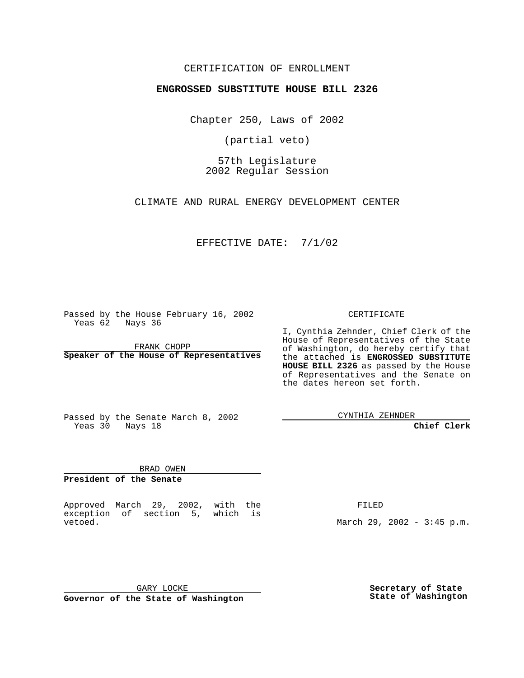## CERTIFICATION OF ENROLLMENT

## **ENGROSSED SUBSTITUTE HOUSE BILL 2326**

Chapter 250, Laws of 2002

(partial veto)

57th Legislature 2002 Regular Session

CLIMATE AND RURAL ENERGY DEVELOPMENT CENTER

EFFECTIVE DATE: 7/1/02

Passed by the House February 16, 2002 Yeas 62 Nays 36

FRANK CHOPP **Speaker of the House of Representatives** CERTIFICATE

I, Cynthia Zehnder, Chief Clerk of the House of Representatives of the State of Washington, do hereby certify that the attached is **ENGROSSED SUBSTITUTE HOUSE BILL 2326** as passed by the House of Representatives and the Senate on the dates hereon set forth.

Passed by the Senate March 8, 2002 Yeas 30 Nays 18

CYNTHIA ZEHNDER

**Chief Clerk**

BRAD OWEN **President of the Senate**

Approved March 29, 2002, with the exception of section 5, which is vetoed.

FILED

March 29, 2002 - 3:45 p.m.

GARY LOCKE **Governor of the State of Washington** **Secretary of State State of Washington**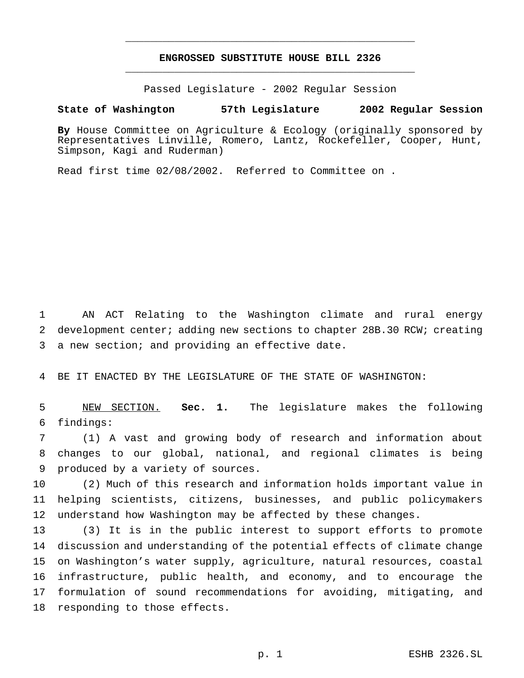## **ENGROSSED SUBSTITUTE HOUSE BILL 2326** \_\_\_\_\_\_\_\_\_\_\_\_\_\_\_\_\_\_\_\_\_\_\_\_\_\_\_\_\_\_\_\_\_\_\_\_\_\_\_\_\_\_\_\_\_\_\_

\_\_\_\_\_\_\_\_\_\_\_\_\_\_\_\_\_\_\_\_\_\_\_\_\_\_\_\_\_\_\_\_\_\_\_\_\_\_\_\_\_\_\_\_\_\_\_

Passed Legislature - 2002 Regular Session

## **State of Washington 57th Legislature 2002 Regular Session**

**By** House Committee on Agriculture & Ecology (originally sponsored by Representatives Linville, Romero, Lantz, Rockefeller, Cooper, Hunt, Simpson, Kagi and Ruderman)

Read first time 02/08/2002. Referred to Committee on .

 AN ACT Relating to the Washington climate and rural energy development center; adding new sections to chapter 28B.30 RCW; creating a new section; and providing an effective date.

BE IT ENACTED BY THE LEGISLATURE OF THE STATE OF WASHINGTON:

 NEW SECTION. **Sec. 1.** The legislature makes the following findings:

 (1) A vast and growing body of research and information about changes to our global, national, and regional climates is being produced by a variety of sources.

 (2) Much of this research and information holds important value in helping scientists, citizens, businesses, and public policymakers understand how Washington may be affected by these changes.

 (3) It is in the public interest to support efforts to promote discussion and understanding of the potential effects of climate change on Washington's water supply, agriculture, natural resources, coastal infrastructure, public health, and economy, and to encourage the formulation of sound recommendations for avoiding, mitigating, and responding to those effects.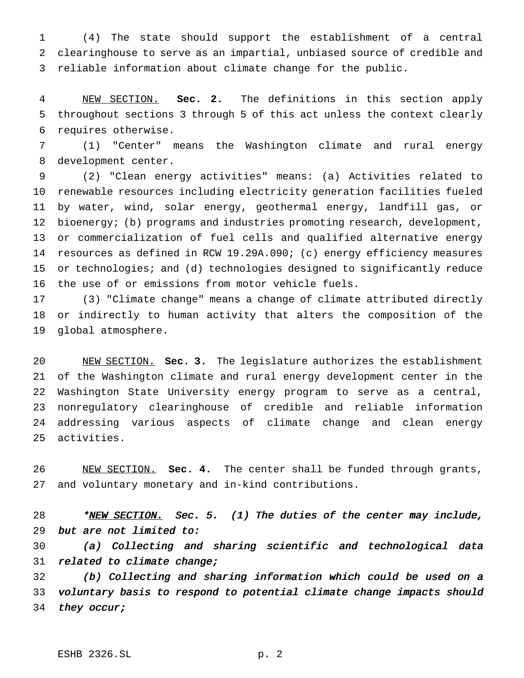(4) The state should support the establishment of a central clearinghouse to serve as an impartial, unbiased source of credible and reliable information about climate change for the public.

 NEW SECTION. **Sec. 2.** The definitions in this section apply throughout sections 3 through 5 of this act unless the context clearly requires otherwise.

 (1) "Center" means the Washington climate and rural energy development center.

 (2) "Clean energy activities" means: (a) Activities related to renewable resources including electricity generation facilities fueled by water, wind, solar energy, geothermal energy, landfill gas, or 12 bioenergy; (b) programs and industries promoting research, development, or commercialization of fuel cells and qualified alternative energy resources as defined in RCW 19.29A.090; (c) energy efficiency measures or technologies; and (d) technologies designed to significantly reduce the use of or emissions from motor vehicle fuels.

 (3) "Climate change" means a change of climate attributed directly or indirectly to human activity that alters the composition of the global atmosphere.

 NEW SECTION. **Sec. 3.** The legislature authorizes the establishment of the Washington climate and rural energy development center in the Washington State University energy program to serve as a central, nonregulatory clearinghouse of credible and reliable information addressing various aspects of climate change and clean energy activities.

 NEW SECTION. **Sec. 4.** The center shall be funded through grants, and voluntary monetary and in-kind contributions.

28 \*NEW SECTION. Sec. 5. (1) The duties of the center may include, but are not limited to:

 (a) Collecting and sharing scientific and technological data 31 related to climate change;

 (b) Collecting and sharing information which could be used on <sup>a</sup> voluntary basis to respond to potential climate change impacts should 34 they occur;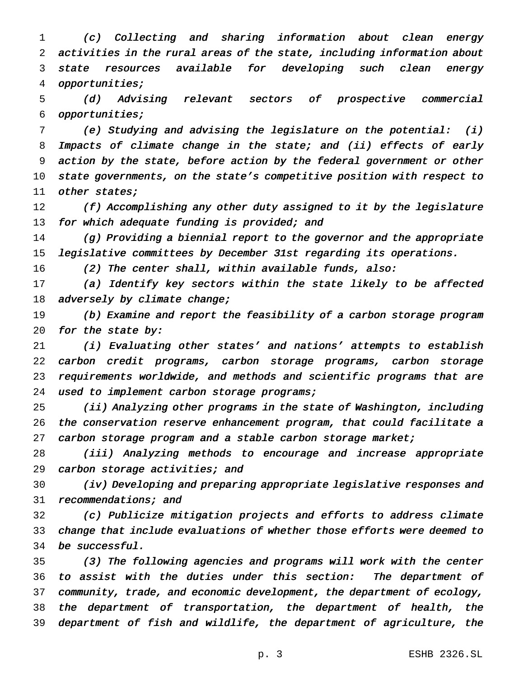(c) Collecting and sharing information about clean energy activities in the rural areas of the state, including information about state resources available for developing such clean energy opportunities;

 (d) Advising relevant sectors of prospective commercial opportunities;

 (e) Studying and advising the legislature on the potential: (i) Impacts of climate change in the state; and (ii) effects of early action by the state, before action by the federal government or other state governments, on the state's competitive position with respect to 11 other states;

12 (f) Accomplishing any other duty assigned to it by the legislature 13 for which adequate funding is provided; and

 (g) Providing <sup>a</sup> biennial report to the governor and the appropriate legislative committees by December 31st regarding its operations.

(2) The center shall, within available funds, also:

 (a) Identify key sectors within the state likely to be affected 18 adversely by climate change;

 (b) Examine and report the feasibility of <sup>a</sup> carbon storage program 20 for the state by:

 (i) Evaluating other states' and nations' attempts to establish carbon credit programs, carbon storage programs, carbon storage requirements worldwide, and methods and scientific programs that are 24 used to implement carbon storage programs;

 (ii) Analyzing other programs in the state of Washington, including the conservation reserve enhancement program, that could facilitate <sup>a</sup> 27 carbon storage program and a stable carbon storage market;

 (iii) Analyzing methods to encourage and increase appropriate 29 carbon storage activities; and

 (iv) Developing and preparing appropriate legislative responses and recommendations; and

 (c) Publicize mitigation projects and efforts to address climate change that include evaluations of whether those efforts were deemed to be successful.

 (3) The following agencies and programs will work with the center to assist with the duties under this section: The department of community, trade, and economic development, the department of ecology, the department of transportation, the department of health, the department of fish and wildlife, the department of agriculture, the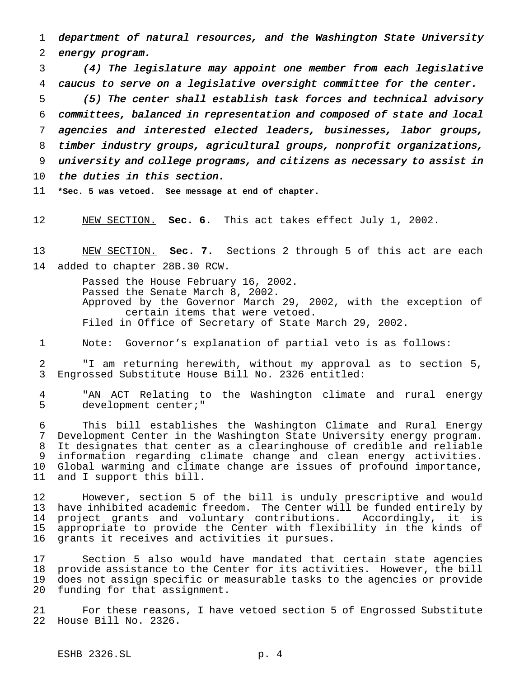department of natural resources, and the Washington State University energy program.

 (4) The legislature may appoint one member from each legislative caucus to serve on <sup>a</sup> legislative oversight committee for the center.

 (5) The center shall establish task forces and technical advisory committees, balanced in representation and composed of state and local agencies and interested elected leaders, businesses, labor groups, timber industry groups, agricultural groups, nonprofit organizations, university and college programs, and citizens as necessary to assist in the duties in this section.

**\*Sec. 5 was vetoed. See message at end of chapter.**

NEW SECTION. **Sec. 6.** This act takes effect July 1, 2002.

 NEW SECTION. **Sec. 7.** Sections 2 through 5 of this act are each added to chapter 28B.30 RCW.

> Passed the House February 16, 2002. Passed the Senate March 8, 2002. Approved by the Governor March 29, 2002, with the exception of certain items that were vetoed. Filed in Office of Secretary of State March 29, 2002.

Note: Governor's explanation of partial veto is as follows:

 "I am returning herewith, without my approval as to section 5, Engrossed Substitute House Bill No. 2326 entitled:

 "AN ACT Relating to the Washington climate and rural energy development center;"

 This bill establishes the Washington Climate and Rural Energy Development Center in the Washington State University energy program. It designates that center as a clearinghouse of credible and reliable information regarding climate change and clean energy activities. Global warming and climate change are issues of profound importance, and I support this bill.

12 However, section 5 of the bill is unduly prescriptive and would<br>13 have inhibited academic freedom. The Center will be funded entirely by have inhibited academic freedom. The Center will be funded entirely by project grants and voluntary contributions. Accordingly, it is appropriate to provide the Center with flexibility in the kinds of grants it receives and activities it pursues.

 Section 5 also would have mandated that certain state agencies provide assistance to the Center for its activities. However, the bill does not assign specific or measurable tasks to the agencies or provide funding for that assignment.

 For these reasons, I have vetoed section 5 of Engrossed Substitute House Bill No. 2326.